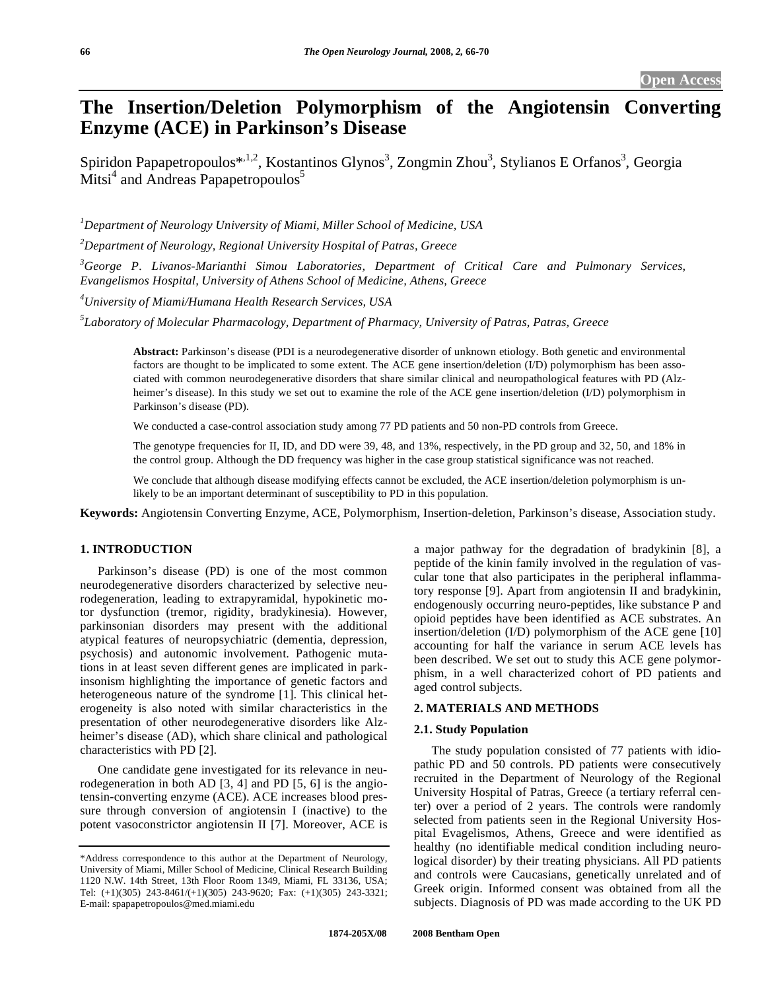# **The Insertion/Deletion Polymorphism of the Angiotensin Converting Enzyme (ACE) in Parkinson's Disease**

Spiridon Papapetropoulos\*<sup>,1,2</sup>, Kostantinos Glynos<sup>3</sup>, Zongmin Zhou<sup>3</sup>, Stylianos E Orfanos<sup>3</sup>, Georgia  $Mitsi<sup>4</sup>$  and Andreas Papapetropoulos<sup>5</sup>

*1 Department of Neurology University of Miami, Miller School of Medicine, USA* 

*2 Department of Neurology, Regional University Hospital of Patras, Greece* 

*3 George P. Livanos-Marianthi Simou Laboratories, Department of Critical Care and Pulmonary Services, Evangelismos Hospital, University of Athens School of Medicine, Athens, Greece* 

*4 University of Miami/Humana Health Research Services, USA* 

*5 Laboratory of Molecular Pharmacology, Department of Pharmacy, University of Patras, Patras, Greece* 

**Abstract:** Parkinson's disease (PDI is a neurodegenerative disorder of unknown etiology. Both genetic and environmental factors are thought to be implicated to some extent. The ACE gene insertion/deletion (I/D) polymorphism has been associated with common neurodegenerative disorders that share similar clinical and neuropathological features with PD (Alzheimer's disease). In this study we set out to examine the role of the ACE gene insertion/deletion (I/D) polymorphism in Parkinson's disease (PD).

We conducted a case-control association study among 77 PD patients and 50 non-PD controls from Greece.

The genotype frequencies for II, ID, and DD were 39, 48, and 13%, respectively, in the PD group and 32, 50, and 18% in the control group. Although the DD frequency was higher in the case group statistical significance was not reached.

We conclude that although disease modifying effects cannot be excluded, the ACE insertion/deletion polymorphism is unlikely to be an important determinant of susceptibility to PD in this population.

**Keywords:** Angiotensin Converting Enzyme, ACE, Polymorphism, Insertion-deletion, Parkinson's disease, Association study.

# **1. INTRODUCTION**

 Parkinson's disease (PD) is one of the most common neurodegenerative disorders characterized by selective neurodegeneration, leading to extrapyramidal, hypokinetic motor dysfunction (tremor, rigidity, bradykinesia). However, parkinsonian disorders may present with the additional atypical features of neuropsychiatric (dementia, depression, psychosis) and autonomic involvement. Pathogenic mutations in at least seven different genes are implicated in parkinsonism highlighting the importance of genetic factors and heterogeneous nature of the syndrome [1]. This clinical heterogeneity is also noted with similar characteristics in the presentation of other neurodegenerative disorders like Alzheimer's disease (AD), which share clinical and pathological characteristics with PD [2].

 One candidate gene investigated for its relevance in neurodegeneration in both AD [3, 4] and PD [5, 6] is the angiotensin-converting enzyme (ACE). ACE increases blood pressure through conversion of angiotensin I (inactive) to the potent vasoconstrictor angiotensin II [7]. Moreover, ACE is a major pathway for the degradation of bradykinin [8], a peptide of the kinin family involved in the regulation of vascular tone that also participates in the peripheral inflammatory response [9]. Apart from angiotensin II and bradykinin, endogenously occurring neuro-peptides, like substance P and opioid peptides have been identified as ACE substrates. An insertion/deletion (I/D) polymorphism of the ACE gene [10] accounting for half the variance in serum ACE levels has been described. We set out to study this ACE gene polymorphism, in a well characterized cohort of PD patients and aged control subjects.

# **2. MATERIALS AND METHODS**

### **2.1. Study Population**

 The study population consisted of 77 patients with idiopathic PD and 50 controls. PD patients were consecutively recruited in the Department of Neurology of the Regional University Hospital of Patras, Greece (a tertiary referral center) over a period of 2 years. The controls were randomly selected from patients seen in the Regional University Hospital Evagelismos, Athens, Greece and were identified as healthy (no identifiable medical condition including neurological disorder) by their treating physicians. All PD patients and controls were Caucasians, genetically unrelated and of Greek origin. Informed consent was obtained from all the subjects. Diagnosis of PD was made according to the UK PD

<sup>\*</sup>Address correspondence to this author at the Department of Neurology, University of Miami, Miller School of Medicine, Clinical Research Building 1120 N.W. 14th Street, 13th Floor Room 1349, Miami, FL 33136, USA; Tel: (+1)(305) 243-8461/(+1)(305) 243-9620; Fax: (+1)(305) 243-3321; E-mail: spapapetropoulos@med.miami.edu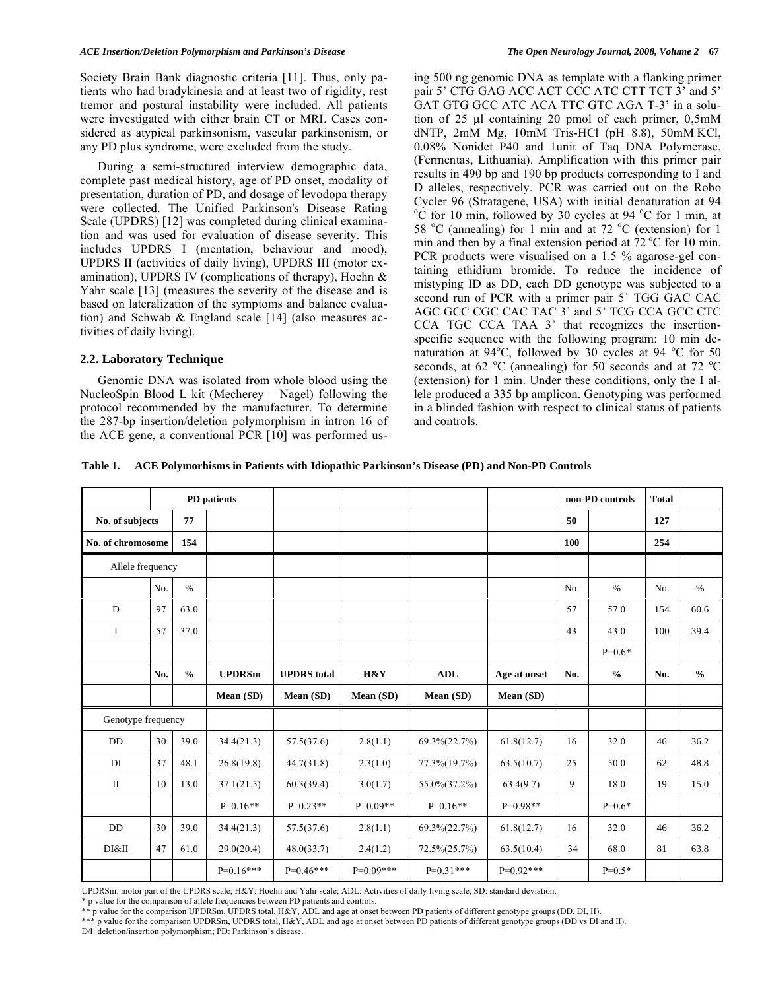Society Brain Bank diagnostic criteria [11]. Thus, only patients who had bradykinesia and at least two of rigidity, rest tremor and postural instability were included. All patients were investigated with either brain CT or MRI. Cases considered as atypical parkinsonism, vascular parkinsonism, or any PD plus syndrome, were excluded from the study.

 During a semi-structured interview demographic data, complete past medical history, age of PD onset, modality of presentation, duration of PD, and dosage of levodopa therapy were collected. The Unified Parkinson's Disease Rating Scale (UPDRS) [12] was completed during clinical examination and was used for evaluation of disease severity. This includes UPDRS I (mentation, behaviour and mood), UPDRS II (activities of daily living), UPDRS III (motor examination), UPDRS IV (complications of therapy), Hoehn & Yahr scale [13] (measures the severity of the disease and is based on lateralization of the symptoms and balance evaluation) and Schwab & England scale [14] (also measures activities of daily living).

#### **2.2. Laboratory Technique**

 Genomic DNA was isolated from whole blood using the NucleoSpin Blood L kit (Mecherey – Nagel) following the protocol recommended by the manufacturer. To determine the 287-bp insertion/deletion polymorphism in intron 16 of the ACE gene, a conventional PCR [10] was performed using 500 ng genomic DNA as template with a flanking primer pair 5' CTG GAG ACC ACT CCC ATC CTT TCT 3' and 5' GAT GTG GCC ATC ACA TTC GTC AGA T-3' in a solution of 25 μl containing 20 pmol of each primer, 0,5mM dNTP, 2mM Mg, 10mM Tris-HCl (pH 8.8), 50mM KCl, 0.08% Nonidet P40 and 1unit of Taq DNA Polymerase, (Fermentas, Lithuania). Amplification with this primer pair results in 490 bp and 190 bp products corresponding to I and D alleles, respectively. PCR was carried out on the Robo Cycler 96 (Stratagene, USA) with initial denaturation at 94  $\rm ^{o}C$  for 10 min, followed by 30 cycles at 94  $\rm ^{o}C$  for 1 min, at 58 °C (annealing) for 1 min and at 72 °C (extension) for 1 min and then by a final extension period at  $72 \degree C$  for 10 min. PCR products were visualised on a 1.5 % agarose-gel containing ethidium bromide. To reduce the incidence of mistyping ID as DD, each DD genotype was subjected to a second run of PCR with a primer pair 5' TGG GAC CAC AGC GCC CGC CAC TAC 3' and 5' TCG CCA GCC CTC CCA TGC CCA TAA 3' that recognizes the insertionspecific sequence with the following program: 10 min denaturation at  $94^{\circ}$ C, followed by 30 cycles at  $94^{\circ}$ C for 50 seconds, at 62  $\rm{^{\circ}C}$  (annealing) for 50 seconds and at 72  $\rm{^{\circ}C}$ (extension) for 1 min. Under these conditions, only the I allele produced a 335 bp amplicon. Genotyping was performed in a blinded fashion with respect to clinical status of patients and controls.

**Table 1. ACE Polymorhisms in Patients with Idiopathic Parkinson's Disease (PD) and Non-PD Controls** 

|                       | PD patients        |               |               |                    |             |               |              | non-PD controls |               | <b>Total</b> |               |
|-----------------------|--------------------|---------------|---------------|--------------------|-------------|---------------|--------------|-----------------|---------------|--------------|---------------|
| 77<br>No. of subjects |                    |               |               |                    |             |               | 50           |                 | 127           |              |               |
| No. of chromosome     |                    | 154           |               |                    |             |               |              | 100             |               | 254          |               |
| Allele frequency      |                    |               |               |                    |             |               |              |                 |               |              |               |
|                       | No.                | $\%$          |               |                    |             |               |              | No.             | $\%$          | No.          | $\%$          |
| D                     | 97                 | 63.0          |               |                    |             |               |              | 57              | 57.0          | 154          | 60.6          |
| $\bf{I}$              | 57                 | 37.0          |               |                    |             |               |              | 43              | 43.0          | 100          | 39.4          |
|                       |                    |               |               |                    |             |               |              |                 | $P=0.6*$      |              |               |
|                       | No.                | $\frac{0}{0}$ | <b>UPDRSm</b> | <b>UPDRS</b> total | H&Y         | <b>ADL</b>    | Age at onset | No.             | $\frac{0}{0}$ | No.          | $\frac{0}{0}$ |
|                       |                    |               | Mean (SD)     | Mean (SD)          | Mean (SD)   | Mean (SD)     | Mean (SD)    |                 |               |              |               |
|                       | Genotype frequency |               |               |                    |             |               |              |                 |               |              |               |
| DD                    | 30                 | 39.0          | 34.4(21.3)    | 57.5(37.6)         | 2.8(1.1)    | 69.3%(22.7%)  | 61.8(12.7)   | 16              | 32.0          | 46           | 36.2          |
| DI                    | 37                 | 48.1          | 26.8(19.8)    | 44.7(31.8)         | 2.3(1.0)    | 77.3% (19.7%) | 63.5(10.7)   | 25              | 50.0          | 62           | 48.8          |
| $\mathbf{I}$          | 10                 | 13.0          | 37.1(21.5)    | 60.3(39.4)         | 3.0(1.7)    | 55.0% (37.2%) | 63.4(9.7)    | 9               | 18.0          | 19           | 15.0          |
|                       |                    |               | $P=0.16**$    | $P=0.23**$         | $P=0.09**$  | $P=0.16**$    | $P=0.98**$   |                 | $P=0.6*$      |              |               |
| DD                    | 30                 | 39.0          | 34.4(21.3)    | 57.5(37.6)         | 2.8(1.1)    | 69.3%(22.7%)  | 61.8(12.7)   | 16              | 32.0          | 46           | 36.2          |
| DI&II                 | 47                 | 61.0          | 29.0(20.4)    | 48.0(33.7)         | 2.4(1.2)    | 72.5% (25.7%) | 63.5(10.4)   | 34              | 68.0          | 81           | 63.8          |
|                       |                    |               | $P=0.16***$   | $P=0.46***$        | $P=0.09***$ | $P=0.31***$   | $P=0.92***$  |                 | $P=0.5*$      |              |               |

UPDRSm: motor part of the UPDRS scale; H&Y: Hoehn and Yahr scale; ADL: Activities of daily living scale; SD: standard deviation.

\* p value for the comparison of allele frequencies between PD patients and controls.

\*\* p value for the comparison UPDRSm, UPDRS total, H&Y, ADL and age at onset between PD patients of different genotype groups (DD, DI, II).

\*\*\* p value for the comparison UPDRSm, UPDRS total, H&Y, ADL and age at onset between PD patients of different genotype groups (DD vs DI and II). D/I: deletion/insertion polymorphism; PD: Parkinson's disease.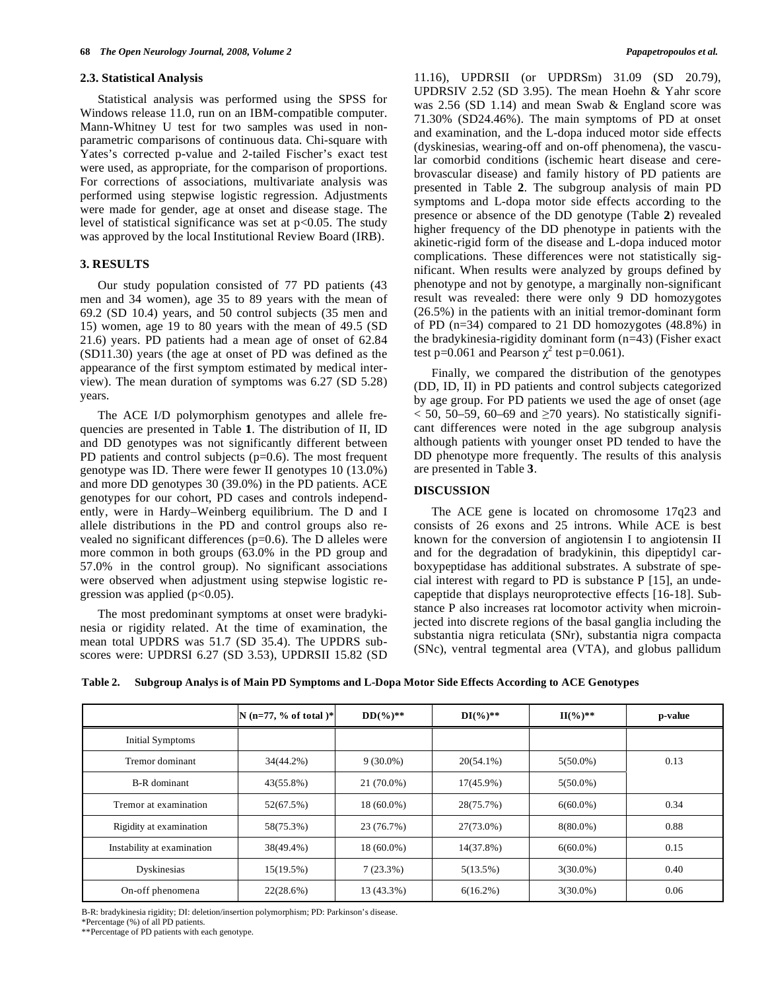#### **2.3. Statistical Analysis**

 Statistical analysis was performed using the SPSS for Windows release 11.0, run on an IBM-compatible computer. Mann-Whitney U test for two samples was used in nonparametric comparisons of continuous data. Chi-square with Yates's corrected p-value and 2-tailed Fischer's exact test were used, as appropriate, for the comparison of proportions. For corrections of associations, multivariate analysis was performed using stepwise logistic regression. Adjustments were made for gender, age at onset and disease stage. The level of statistical significance was set at  $p<0.05$ . The study was approved by the local Institutional Review Board (IRB).

#### **3. RESULTS**

 Our study population consisted of 77 PD patients (43 men and 34 women), age 35 to 89 years with the mean of 69.2 (SD 10.4) years, and 50 control subjects (35 men and 15) women, age 19 to 80 years with the mean of 49.5 (SD 21.6) years. PD patients had a mean age of onset of 62.84 (SD11.30) years (the age at onset of PD was defined as the appearance of the first symptom estimated by medical interview). The mean duration of symptoms was 6.27 (SD 5.28) years.

 The ACE I/D polymorphism genotypes and allele frequencies are presented in Table **1**. The distribution of II, ID and DD genotypes was not significantly different between PD patients and control subjects (p=0.6). The most frequent genotype was ID. There were fewer II genotypes 10 (13.0%) and more DD genotypes 30 (39.0%) in the PD patients. ACE genotypes for our cohort, PD cases and controls independently, were in Hardy–Weinberg equilibrium. The D and I allele distributions in the PD and control groups also revealed no significant differences ( $p=0.6$ ). The D alleles were more common in both groups (63.0% in the PD group and 57.0% in the control group). No significant associations were observed when adjustment using stepwise logistic regression was applied  $(p<0.05)$ .

 The most predominant symptoms at onset were bradykinesia or rigidity related. At the time of examination, the mean total UPDRS was 51.7 (SD 35.4). The UPDRS subscores were: UPDRSI 6.27 (SD 3.53), UPDRSII 15.82 (SD 11.16), UPDRSII (or UPDRSm) 31.09 (SD 20.79), UPDRSIV 2.52 (SD 3.95). The mean Hoehn & Yahr score was 2.56 (SD 1.14) and mean Swab & England score was 71.30% (SD24.46%). The main symptoms of PD at onset and examination, and the L-dopa induced motor side effects (dyskinesias, wearing-off and on-off phenomena), the vascular comorbid conditions (ischemic heart disease and cerebrovascular disease) and family history of PD patients are presented in Table **2**. The subgroup analysis of main PD symptoms and L-dopa motor side effects according to the presence or absence of the DD genotype (Table **2**) revealed higher frequency of the DD phenotype in patients with the akinetic-rigid form of the disease and L-dopa induced motor complications. These differences were not statistically significant. When results were analyzed by groups defined by phenotype and not by genotype, a marginally non-significant result was revealed: there were only 9 DD homozygotes (26.5%) in the patients with an initial tremor-dominant form of PD (n=34) compared to 21 DD homozygotes (48.8%) in the bradykinesia-rigidity dominant form (n=43) (Fisher exact test p=0.061 and Pearson  $\chi^2$  test p=0.061).

 Finally, we compared the distribution of the genotypes (DD, ID, II) in PD patients and control subjects categorized by age group. For PD patients we used the age of onset (age  $<$  50, 50–59, 60–69 and  $\geq$ 70 years). No statistically significant differences were noted in the age subgroup analysis although patients with younger onset PD tended to have the DD phenotype more frequently. The results of this analysis are presented in Table **3**.

#### **DISCUSSION**

 The ACE gene is located on chromosome 17q23 and consists of 26 exons and 25 introns. While ACE is best known for the conversion of angiotensin I to angiotensin II and for the degradation of bradykinin, this dipeptidyl carboxypeptidase has additional substrates. A substrate of special interest with regard to PD is substance P [15], an undecapeptide that displays neuroprotective effects [16-18]. Substance P also increases rat locomotor activity when microinjected into discrete regions of the basal ganglia including the substantia nigra reticulata (SNr), substantia nigra compacta (SNc), ventral tegmental area (VTA), and globus pallidum

|  |  |  |  | Table 2. Subgroup Analys is of Main PD Symptoms and L-Dopa Motor Side Effects According to ACE Genotypes |
|--|--|--|--|----------------------------------------------------------------------------------------------------------|
|--|--|--|--|----------------------------------------------------------------------------------------------------------|

|                            | $N (n=77, % of total)*$ | $DD(\frac{9}{6})^{**}$ | $DI(%)**$    | $H(\%)^{**}$ | p-value |
|----------------------------|-------------------------|------------------------|--------------|--------------|---------|
| <b>Initial Symptoms</b>    |                         |                        |              |              |         |
| Tremor dominant            | 34(44.2%)               | $9(30.0\%)$            | $20(54.1\%)$ | $5(50.0\%)$  | 0.13    |
| B-R dominant               | 43(55.8%)               | 21 (70.0%)             | 17(45.9%)    | $5(50.0\%)$  |         |
| Tremor at examination      | 52(67.5%)               | 18 (60.0%)             | 28(75.7%)    | $6(60.0\%)$  | 0.34    |
| Rigidity at examination    | 58(75.3%)               | 23 (76.7%)             | 27(73.0%)    | $8(80.0\%)$  | 0.88    |
| Instability at examination | 38(49.4%)               | 18 (60.0%)             | 14(37.8%)    | $6(60.0\%)$  | 0.15    |
| Dyskinesias                | 15(19.5%)               | $7(23.3\%)$            | 5(13.5%)     | $3(30.0\%)$  | 0.40    |
| On-off phenomena           | 22(28.6%)               | 13 (43.3%)             | $6(16.2\%)$  | $3(30.0\%)$  | 0.06    |

B-R: bradykinesia rigidity; DI: deletion/insertion polymorphism; PD: Parkinson's disease.

\*Percentage (%) of all PD patients.

\*\*Percentage of PD patients with each genotype.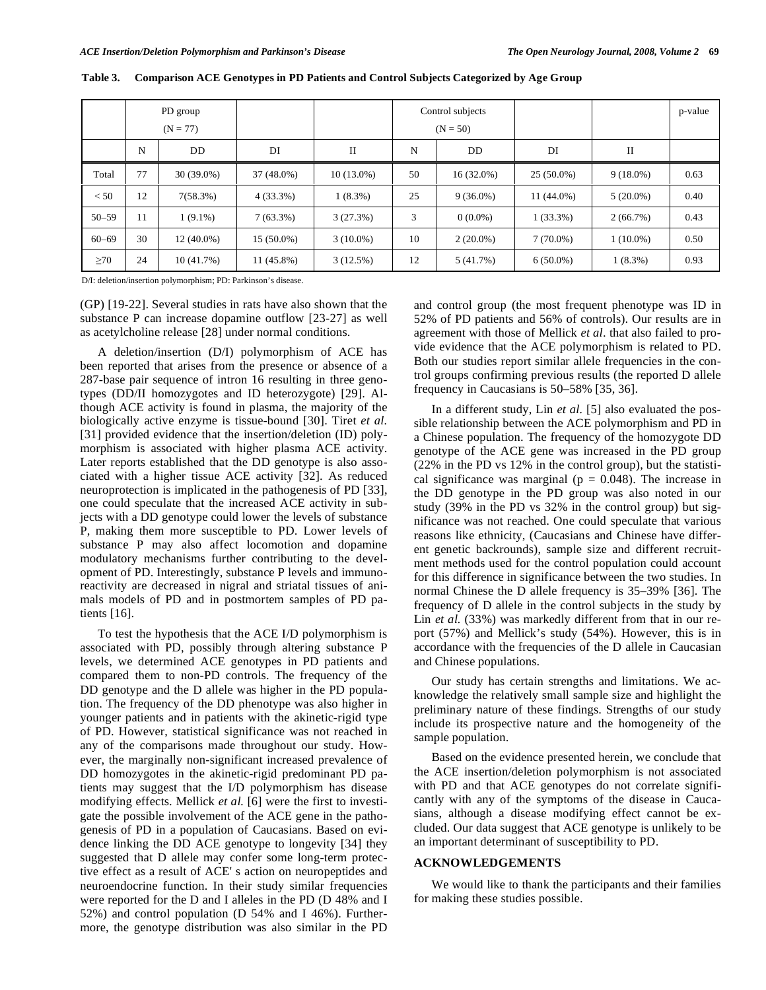|           |    | PD group     |              |              |    | Control subjects |              |             | p-value |
|-----------|----|--------------|--------------|--------------|----|------------------|--------------|-------------|---------|
|           |    | $(N = 77)$   |              |              |    | $(N = 50)$       |              |             |         |
|           | N  | DD.          | DI           | П            | N  | <b>DD</b>        | DI           | П           |         |
| Total     | 77 | $30(39.0\%)$ | $37(48.0\%)$ | $10(13.0\%)$ | 50 | $16(32.0\%)$     | $25(50.0\%)$ | $9(18.0\%)$ | 0.63    |
| < 50      | 12 | 7(58.3%)     | $4(33.3\%)$  | $1(8.3\%)$   | 25 | $9(36.0\%)$      | 11 (44.0%)   | $5(20.0\%)$ | 0.40    |
| $50 - 59$ | 11 | $1(9.1\%)$   | $7(63.3\%)$  | 3(27.3%)     | 3  | $0(0.0\%)$       | $1(33.3\%)$  | 2(66.7%)    | 0.43    |
| $60 - 69$ | 30 | $12(40.0\%)$ | $15(50.0\%)$ | $3(10.0\%)$  | 10 | $2(20.0\%)$      | $7(70.0\%)$  | $1(10.0\%)$ | 0.50    |
| $\geq 70$ | 24 | 10(41.7%)    | 11 (45.8%)   | 3(12.5%)     | 12 | 5(41.7%)         | $6(50.0\%)$  | $1(8.3\%)$  | 0.93    |

**Table 3. Comparison ACE Genotypes in PD Patients and Control Subjects Categorized by Age Group** 

D/I: deletion/insertion polymorphism; PD: Parkinson's disease.

(GP) [19-22]. Several studies in rats have also shown that the substance P can increase dopamine outflow [23-27] as well as acetylcholine release [28] under normal conditions.

 A deletion/insertion (D/I) polymorphism of ACE has been reported that arises from the presence or absence of a 287-base pair sequence of intron 16 resulting in three genotypes (DD/II homozygotes and ID heterozygote) [29]. Although ACE activity is found in plasma, the majority of the biologically active enzyme is tissue-bound [30]. Tiret *et al.*  [31] provided evidence that the insertion/deletion (ID) polymorphism is associated with higher plasma ACE activity. Later reports established that the DD genotype is also associated with a higher tissue ACE activity [32]. As reduced neuroprotection is implicated in the pathogenesis of PD [33], one could speculate that the increased ACE activity in subjects with a DD genotype could lower the levels of substance P, making them more susceptible to PD. Lower levels of substance P may also affect locomotion and dopamine modulatory mechanisms further contributing to the development of PD. Interestingly, substance P levels and immunoreactivity are decreased in nigral and striatal tissues of animals models of PD and in postmortem samples of PD patients [16].

 To test the hypothesis that the ACE I/D polymorphism is associated with PD, possibly through altering substance P levels, we determined ACE genotypes in PD patients and compared them to non-PD controls. The frequency of the DD genotype and the D allele was higher in the PD population. The frequency of the DD phenotype was also higher in younger patients and in patients with the akinetic-rigid type of PD. However, statistical significance was not reached in any of the comparisons made throughout our study. However, the marginally non-significant increased prevalence of DD homozygotes in the akinetic-rigid predominant PD patients may suggest that the I/D polymorphism has disease modifying effects. Mellick *et al.* [6] were the first to investigate the possible involvement of the ACE gene in the pathogenesis of PD in a population of Caucasians. Based on evidence linking the DD ACE genotype to longevity [34] they suggested that D allele may confer some long-term protective effect as a result of ACE' s action on neuropeptides and neuroendocrine function. In their study similar frequencies were reported for the D and I alleles in the PD (D 48% and I 52%) and control population (D 54% and I 46%). Furthermore, the genotype distribution was also similar in the PD

and control group (the most frequent phenotype was ID in 52% of PD patients and 56% of controls). Our results are in agreement with those of Mellick *et al*. that also failed to provide evidence that the ACE polymorphism is related to PD. Both our studies report similar allele frequencies in the control groups confirming previous results (the reported D allele frequency in Caucasians is 50–58% [35, 36].

 In a different study, Lin *et al.* [5] also evaluated the possible relationship between the ACE polymorphism and PD in a Chinese population. The frequency of the homozygote DD genotype of the ACE gene was increased in the PD group (22% in the PD vs 12% in the control group), but the statistical significance was marginal ( $p = 0.048$ ). The increase in the DD genotype in the PD group was also noted in our study (39% in the PD vs 32% in the control group) but significance was not reached. One could speculate that various reasons like ethnicity, (Caucasians and Chinese have different genetic backrounds), sample size and different recruitment methods used for the control population could account for this difference in significance between the two studies. In normal Chinese the D allele frequency is 35–39% [36]. The frequency of D allele in the control subjects in the study by Lin *et al.* (33%) was markedly different from that in our report (57%) and Mellick's study (54%). However, this is in accordance with the frequencies of the D allele in Caucasian and Chinese populations.

 Our study has certain strengths and limitations. We acknowledge the relatively small sample size and highlight the preliminary nature of these findings. Strengths of our study include its prospective nature and the homogeneity of the sample population.

 Based on the evidence presented herein, we conclude that the ACE insertion/deletion polymorphism is not associated with PD and that ACE genotypes do not correlate significantly with any of the symptoms of the disease in Caucasians, although a disease modifying effect cannot be excluded. Our data suggest that ACE genotype is unlikely to be an important determinant of susceptibility to PD.

## **ACKNOWLEDGEMENTS**

 We would like to thank the participants and their families for making these studies possible.